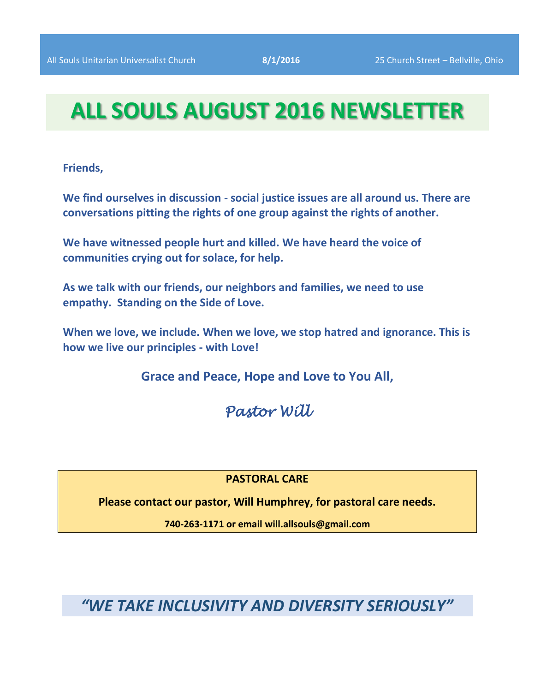# **ALL SOULS AUGUST 2016 NEWSLETTER**

**Friends,**

**We find ourselves in discussion - social justice issues are all around us. There are conversations pitting the rights of one group against the rights of another.** 

**We have witnessed people hurt and killed. We have heard the voice of communities crying out for solace, for help.** 

**As we talk with our friends, our neighbors and families, we need to use empathy. Standing on the Side of Love.** 

**When we love, we include. When we love, we stop hatred and ignorance. This is how we live our principles - with Love!** 

**Grace and Peace, Hope and Love to You All,** 

*Pastor Will* 

**PASTORAL CARE**

**Please contact our pastor, Will Humphrey, for pastoral care needs.**

**740-263-1171 or email will.allsouls@gmail.com**

*"WE TAKE INCLUSIVITY AND DIVERSITY SERIOUSLY"*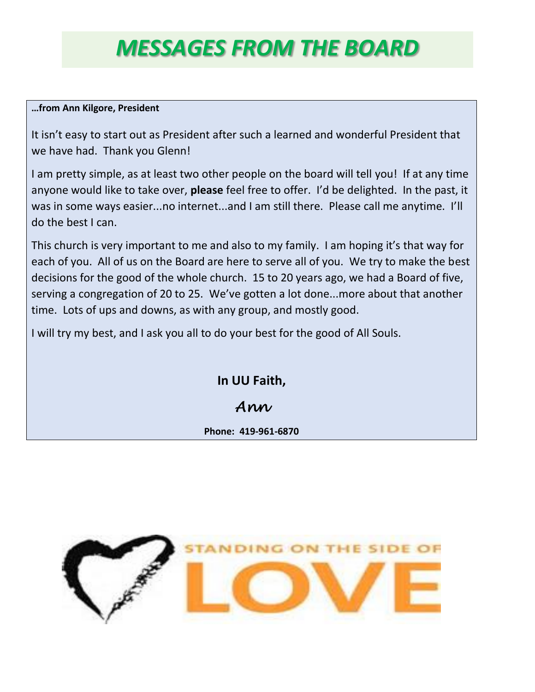# *MESSAGES FROM THE BOARD*

#### **…from Ann Kilgore, President**

It isn't easy to start out as President after such a learned and wonderful President that we have had. Thank you Glenn!

I am pretty simple, as at least two other people on the board will tell you! If at any time anyone would like to take over, **please** feel free to offer. I'd be delighted. In the past, it was in some ways easier...no internet...and I am still there. Please call me anytime. I'll do the best I can.

This church is very important to me and also to my family. I am hoping it's that way for each of you. All of us on the Board are here to serve all of you. We try to make the best decisions for the good of the whole church. 15 to 20 years ago, we had a Board of five, serving a congregation of 20 to 25. We've gotten a lot done...more about that another time. Lots of ups and downs, as with any group, and mostly good.

I will try my best, and I ask you all to do your best for the good of All Souls.

**In UU Faith,**

*Ann* 

**Phone: 419-961-6870**

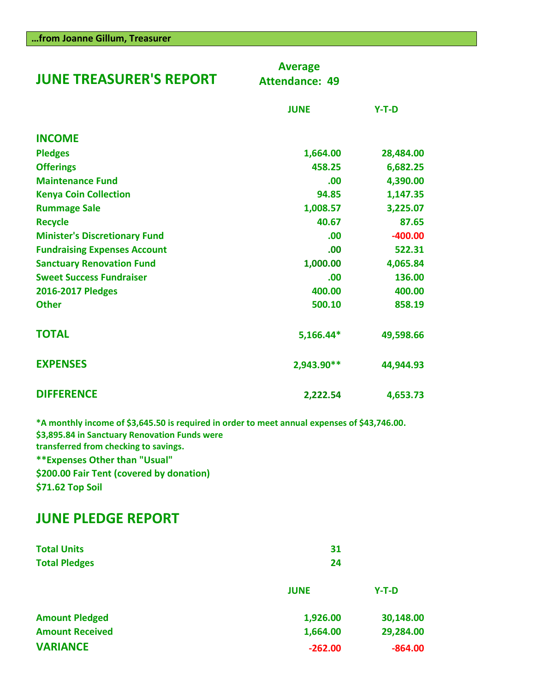| <b>JUNE TREASURER'S REPORT</b>       | <b>Average</b><br><b>Attendance: 49</b> |           |
|--------------------------------------|-----------------------------------------|-----------|
|                                      | <b>JUNE</b>                             | $Y-T-D$   |
| <b>INCOME</b>                        |                                         |           |
| <b>Pledges</b>                       | 1,664.00                                | 28,484.00 |
| <b>Offerings</b>                     | 458.25                                  | 6,682.25  |
| <b>Maintenance Fund</b>              | .00                                     | 4,390.00  |
| <b>Kenya Coin Collection</b>         | 94.85                                   | 1,147.35  |
| <b>Rummage Sale</b>                  | 1,008.57                                | 3,225.07  |
| <b>Recycle</b>                       | 40.67                                   | 87.65     |
| <b>Minister's Discretionary Fund</b> | .00                                     | $-400.00$ |
| <b>Fundraising Expenses Account</b>  | .00                                     | 522.31    |
| <b>Sanctuary Renovation Fund</b>     | 1,000.00                                | 4,065.84  |
| <b>Sweet Success Fundraiser</b>      | .00                                     | 136.00    |
| 2016-2017 Pledges                    | 400.00                                  | 400.00    |
| <b>Other</b>                         | 500.10                                  | 858.19    |
| <b>TOTAL</b>                         | 5,166.44*                               | 49,598.66 |
| <b>EXPENSES</b>                      | 2,943.90**                              | 44,944.93 |
| <b>DIFFERENCE</b>                    | 2,222.54                                | 4,653.73  |

**\*A monthly income of \$3,645.50 is required in order to meet annual expenses of \$43,746.00. \$3,895.84 in Sanctuary Renovation Funds were transferred from checking to savings. \*\*Expenses Other than "Usual" \$200.00 Fair Tent (covered by donation) \$71.62 Top Soil**

# **JUNE PLEDGE REPORT**

| <b>Total Units</b><br><b>Total Pledges</b> | 31<br>24    |           |
|--------------------------------------------|-------------|-----------|
|                                            | <b>JUNE</b> | $Y-T-D$   |
| <b>Amount Pledged</b>                      | 1,926.00    | 30,148.00 |
| <b>Amount Received</b>                     | 1,664.00    | 29,284.00 |
| <b>VARIANCE</b>                            | $-262.00$   | $-864.00$ |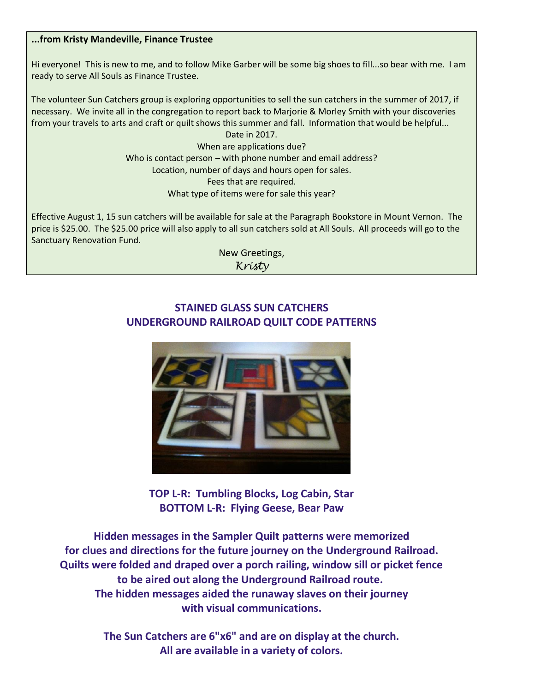#### **...from Kristy Mandeville, Finance Trustee**

Hi everyone! This is new to me, and to follow Mike Garber will be some big shoes to fill...so bear with me. I am ready to serve All Souls as Finance Trustee.

The volunteer Sun Catchers group is exploring opportunities to sell the sun catchers in the summer of 2017, if necessary. We invite all in the congregation to report back to Marjorie & Morley Smith with your discoveries from your travels to arts and craft or quilt shows this summer and fall. Information that would be helpful...

Date in 2017. When are applications due? Who is contact person – with phone number and email address? Location, number of days and hours open for sales. Fees that are required. What type of items were for sale this year?

Effective August 1, 15 sun catchers will be available for sale at the Paragraph Bookstore in Mount Vernon. The price is \$25.00. The \$25.00 price will also apply to all sun catchers sold at All Souls. All proceeds will go to the Sanctuary Renovation Fund.

> New Greetings, *Kristy*

# **STAINED GLASS SUN CATCHERS UNDERGROUND RAILROAD QUILT CODE PATTERNS**



**TOP L-R: Tumbling Blocks, Log Cabin, Star BOTTOM L-R: Flying Geese, Bear Paw**

**Hidden messages in the Sampler Quilt patterns were memorized for clues and directions for the future journey on the Underground Railroad. Quilts were folded and draped over a porch railing, window sill or picket fence to be aired out along the Underground Railroad route. The hidden messages aided the runaway slaves on their journey with visual communications.**

> **The Sun Catchers are 6"x6" and are on display at the church. All are available in a variety of colors.**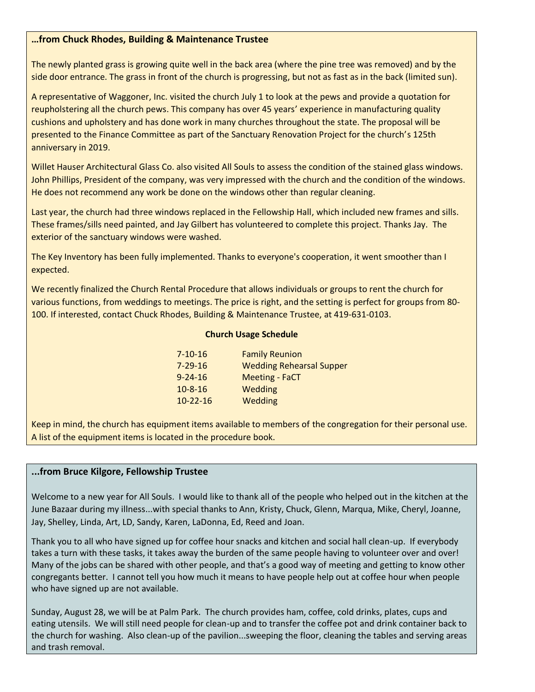#### **…from Chuck Rhodes, Building & Maintenance Trustee**

The newly planted grass is growing quite well in the back area (where the pine tree was removed) and by the side door entrance. The grass in front of the church is progressing, but not as fast as in the back (limited sun).

A representative of Waggoner, Inc. visited the church July 1 to look at the pews and provide a quotation for reupholstering all the church pews. This company has over 45 years' experience in manufacturing quality cushions and upholstery and has done work in many churches throughout the state. The proposal will be presented to the Finance Committee as part of the Sanctuary Renovation Project for the church's 125th anniversary in 2019.

Willet Hauser Architectural Glass Co. also visited All Souls to assess the condition of the stained glass windows. John Phillips, President of the company, was very impressed with the church and the condition of the windows. He does not recommend any work be done on the windows other than regular cleaning.

Last year, the church had three windows replaced in the Fellowship Hall, which included new frames and sills. These frames/sills need painted, and Jay Gilbert has volunteered to complete this project. Thanks Jay. The exterior of the sanctuary windows were washed.

The Key Inventory has been fully implemented. Thanks to everyone's cooperation, it went smoother than I expected.

We recently finalized the Church Rental Procedure that allows individuals or groups to rent the church for various functions, from weddings to meetings. The price is right, and the setting is perfect for groups from 80- 100. If interested, contact Chuck Rhodes, Building & Maintenance Trustee, at 419-631-0103.

#### **Church Usage Schedule**

| $7 - 10 - 16$  | <b>Family Reunion</b>           |
|----------------|---------------------------------|
| $7 - 29 - 16$  | <b>Wedding Rehearsal Supper</b> |
| $9 - 24 - 16$  | <b>Meeting - FaCT</b>           |
| $10 - 8 - 16$  | Wedding                         |
| $10 - 22 - 16$ | Wedding                         |

Keep in mind, the church has equipment items available to members of the congregation for their personal use. A list of the equipment items is located in the procedure book.

#### **...from Bruce Kilgore, Fellowship Trustee**

Welcome to a new year for All Souls. I would like to thank all of the people who helped out in the kitchen at the June Bazaar during my illness...with special thanks to Ann, Kristy, Chuck, Glenn, Marqua, Mike, Cheryl, Joanne, Jay, Shelley, Linda, Art, LD, Sandy, Karen, LaDonna, Ed, Reed and Joan.

Thank you to all who have signed up for coffee hour snacks and kitchen and social hall clean-up. If everybody takes a turn with these tasks, it takes away the burden of the same people having to volunteer over and over! Many of the jobs can be shared with other people, and that's a good way of meeting and getting to know other congregants better. I cannot tell you how much it means to have people help out at coffee hour when people who have signed up are not available.

Sunday, August 28, we will be at Palm Park. The church provides ham, coffee, cold drinks, plates, cups and eating utensils. We will still need people for clean-up and to transfer the coffee pot and drink container back to the church for washing. Also clean-up of the pavilion...sweeping the floor, cleaning the tables and serving areas and trash removal.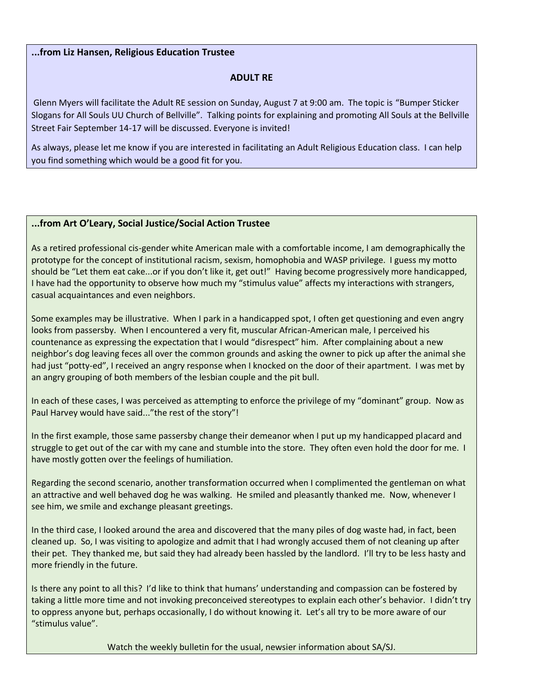#### **...from Liz Hansen, Religious Education Trustee**

#### **ADULT RE**

Glenn Myers will facilitate the Adult RE session on Sunday, August 7 at 9:00 am. The topic is "Bumper Sticker Slogans for All Souls UU Church of Bellville". Talking points for explaining and promoting All Souls at the Bellville Street Fair September 14-17 will be discussed. Everyone is invited!

As always, please let me know if you are interested in facilitating an Adult Religious Education class. I can help you find something which would be a good fit for you.

#### **...from Art O'Leary, Social Justice/Social Action Trustee**

As a retired professional cis-gender white American male with a comfortable income, I am demographically the prototype for the concept of institutional racism, sexism, homophobia and WASP privilege. I guess my motto should be "Let them eat cake...or if you don't like it, get out!" Having become progressively more handicapped, I have had the opportunity to observe how much my "stimulus value" affects my interactions with strangers, casual acquaintances and even neighbors.

Some examples may be illustrative. When I park in a handicapped spot, I often get questioning and even angry looks from passersby. When I encountered a very fit, muscular African-American male, I perceived his countenance as expressing the expectation that I would "disrespect" him. After complaining about a new neighbor's dog leaving feces all over the common grounds and asking the owner to pick up after the animal she had just "potty-ed", I received an angry response when I knocked on the door of their apartment. I was met by an angry grouping of both members of the lesbian couple and the pit bull.

In each of these cases, I was perceived as attempting to enforce the privilege of my "dominant" group. Now as Paul Harvey would have said..."the rest of the story"!

In the first example, those same passersby change their demeanor when I put up my handicapped placard and struggle to get out of the car with my cane and stumble into the store. They often even hold the door for me. I have mostly gotten over the feelings of humiliation.

Regarding the second scenario, another transformation occurred when I complimented the gentleman on what an attractive and well behaved dog he was walking. He smiled and pleasantly thanked me. Now, whenever I see him, we smile and exchange pleasant greetings.

In the third case, I looked around the area and discovered that the many piles of dog waste had, in fact, been cleaned up. So, I was visiting to apologize and admit that I had wrongly accused them of not cleaning up after their pet. They thanked me, but said they had already been hassled by the landlord. I'll try to be less hasty and more friendly in the future.

Is there any point to all this? I'd like to think that humans' understanding and compassion can be fostered by taking a little more time and not invoking preconceived stereotypes to explain each other's behavior. I didn't try to oppress anyone but, perhaps occasionally, I do without knowing it. Let's all try to be more aware of our "stimulus value".

Watch the weekly bulletin for the usual, newsier information about SA/SJ.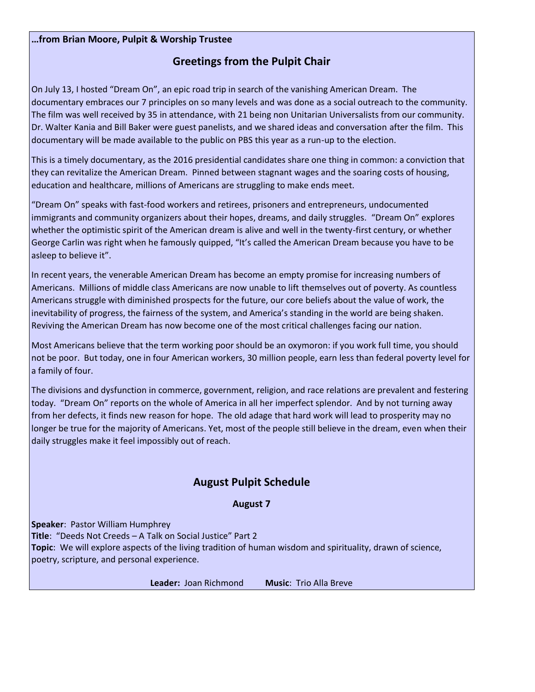#### **…from Brian Moore, Pulpit & Worship Trustee**

## **Greetings from the Pulpit Chair**

On July 13, I hosted "Dream On", an epic road trip in search of the vanishing American Dream. The documentary embraces our 7 principles on so many levels and was done as a social outreach to the community. The film was well received by 35 in attendance, with 21 being non Unitarian Universalists from our community. Dr. Walter Kania and Bill Baker were guest panelists, and we shared ideas and conversation after the film. This documentary will be made available to the public on PBS this year as a run-up to the election.

This is a timely documentary, as the 2016 presidential candidates share one thing in common: a conviction that they can revitalize the American Dream. Pinned between stagnant wages and the soaring costs of housing, education and healthcare, millions of Americans are struggling to make ends meet.

"Dream On" speaks with fast-food workers and retirees, prisoners and entrepreneurs, undocumented immigrants and community organizers about their hopes, dreams, and daily struggles. "Dream On" explores whether the optimistic spirit of the American dream is alive and well in the twenty-first century, or whether George Carlin was right when he famously quipped, "It's called the American Dream because you have to be asleep to believe it".

In recent years, the venerable American Dream has become an empty promise for increasing numbers of Americans. Millions of middle class Americans are now unable to lift themselves out of poverty. As countless Americans struggle with diminished prospects for the future, our core beliefs about the value of work, the inevitability of progress, the fairness of the system, and America's standing in the world are being shaken. Reviving the American Dream has now become one of the most critical challenges facing our nation.

Most Americans believe that the term working poor should be an oxymoron: if you work full time, you should not be poor. But today, one in four American workers, 30 million people, earn less than federal poverty level for a family of four.

The divisions and dysfunction in commerce, government, religion, and race relations are prevalent and festering today. "Dream On" reports on the whole of America in all her imperfect splendor. And by not turning away from her defects, it finds new reason for hope. The old adage that hard work will lead to prosperity may no longer be true for the majority of Americans. Yet, most of the people still believe in the dream, even when their daily struggles make it feel impossibly out of reach.

### **August Pulpit Schedule**

#### **August 7**

**Speaker**: Pastor William Humphrey **Title**: "Deeds Not Creeds – A Talk on Social Justice" Part 2 **Topic**: We will explore aspects of the living tradition of human wisdom and spirituality, drawn of science, poetry, scripture, and personal experience.

**Leader:** Joan Richmond **Music**: Trio Alla Breve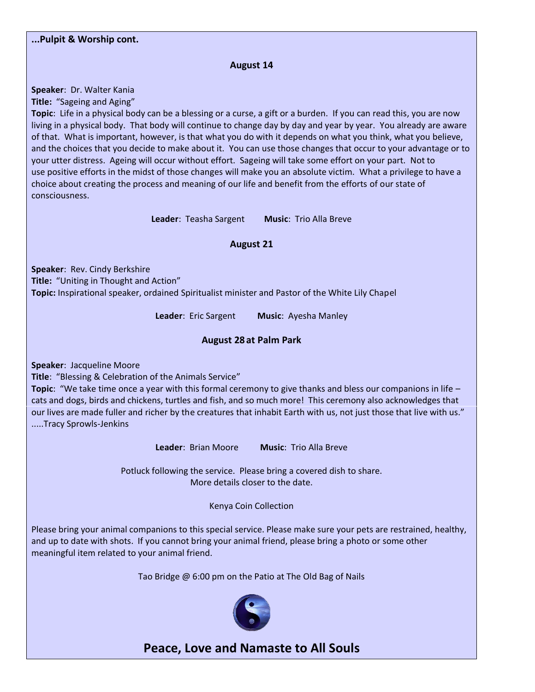#### **...Pulpit & Worship cont.**

#### **August 14**

**Speaker**: Dr. Walter Kania

**Title:** "Sageing and Aging"

**Topic**: Life in a physical body can be a blessing or a curse, a gift or a burden. If you can read this, you are now living in a physical body. That body will continue to change day by day and year by year. You already are aware of that. What is important, however, is that what you do with it depends on what you think, what you believe, and the choices that you decide to make about it. You can use those changes that occur to your advantage or to your utter distress. Ageing will occur without effort. Sageing will take some effort on your part. Not to use positive efforts in the midst of those changes will make you an absolute victim. What a privilege to have a choice about creating the process and meaning of our life and benefit from the efforts of our state of consciousness.

**Leader**: Teasha Sargent **Music**: Trio Alla Breve

#### **August 21**

**Speaker**: Rev. Cindy Berkshire **Title:** "Uniting in Thought and Action" **Topic:** Inspirational speaker, ordained Spiritualist minister and Pastor of the White Lily Chapel

**Leader**: Eric Sargent **Music**: Ayesha Manley

#### **August 28 at Palm Park**

**Speaker**: Jacqueline Moore

**Title**: "Blessing & Celebration of the Animals Service"

**Topic**: "We take time once a year with this formal ceremony to give thanks and bless our companions in life – cats and dogs, birds and chickens, turtles and fish, and so much more! This ceremony also acknowledges that our lives are made fuller and richer by the creatures that inhabit Earth with us, not just those that live with us." .....Tracy Sprowls-Jenkins

**Leader**: Brian Moore **Music**: Trio Alla Breve

Potluck following the service. Please bring a covered dish to share. More details closer to the date.

Kenya Coin Collection

Please bring your animal companions to this special service. Please make sure your pets are restrained, healthy, and up to date with shots. If you cannot bring your animal friend, please bring a photo or some other meaningful item related to your animal friend.

Tao Bridge @ 6:00 pm on the Patio at The Old Bag of Nails



**Peace, Love and Namaste to All Souls**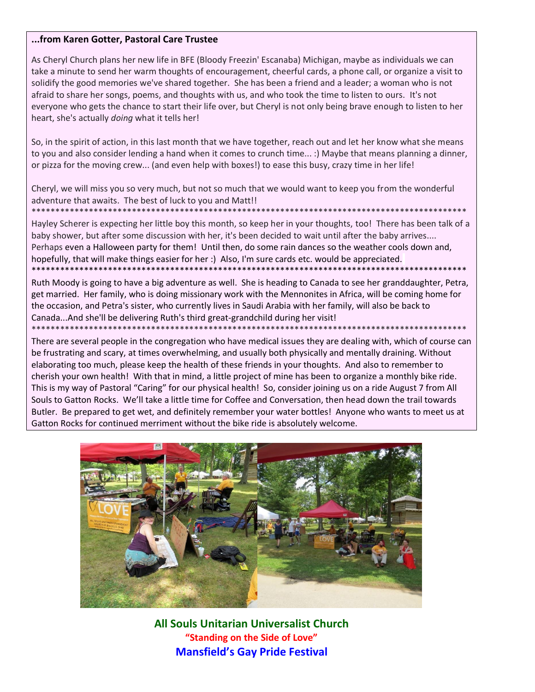#### **...from Karen Gotter, Pastoral Care Trustee**

As Cheryl Church plans her new life in BFE (Bloody Freezin' Escanaba) Michigan, maybe as individuals we can take a minute to send her warm thoughts of encouragement, cheerful cards, a phone call, or organize a visit to solidify the good memories we've shared together. She has been a friend and a leader; a woman who is not afraid to share her songs, poems, and thoughts with us, and who took the time to listen to ours. It's not everyone who gets the chance to start their life over, but Cheryl is not only being brave enough to listen to her heart, she's actually *doing* what it tells her!

So, in the spirit of action, in this last month that we have together, reach out and let her know what she means to you and also consider lending a hand when it comes to crunch time... :) Maybe that means planning a dinner, or pizza for the moving crew... (and even help with boxes!) to ease this busy, crazy time in her life!

Cheryl, we will miss you so very much, but not so much that we would want to keep you from the wonderful adventure that awaits. The best of luck to you and Matt!!

\*\*\*\*\*\*\*\*\*\*\*\*\*\*\*\*\*\*\*\*\*\*\*\*\*\*\*\*\*\*\*\*\*\*\*\*\*\*\*\*\*\*\*\*\*\*\*\*\*\*\*\*\*\*\*\*\*\*\*\*\*\*\*\*\*\*\*\*\*\*\*\*\*\*\*\*\*\*\*\*\*\*\*\*\*\*\*\*\*\*\* Hayley Scherer is expecting her little boy this month, so keep her in your thoughts, too! There has been talk of a baby shower, but after some discussion with her, it's been decided to wait until after the baby arrives.... Perhaps even a Halloween party for them! Until then, do some rain dances so the weather cools down and, hopefully, that will make things easier for her :) Also, I'm sure cards etc. would be appreciated. \*\*\*\*\*\*\*\*\*\*\*\*\*\*\*\*\*\*\*\*\*\*\*\*\*\*\*\*\*\*\*\*\*\*\*\*\*\*\*\*\*\*\*\*\*\*\*\*\*\*\*\*\*\*\*\*\*\*\*\*\*\*\*\*\*\*\*\*\*\*\*\*\*\*\*\*\*\*\*\*\*\*\*\*\*\*\*\*\*\*\*

Ruth Moody is going to have a big adventure as well. She is heading to Canada to see her granddaughter, Petra, get married. Her family, who is doing missionary work with the Mennonites in Africa, will be coming home for the occasion, and Petra's sister, who currently lives in Saudi Arabia with her family, will also be back to Canada...And she'll be delivering Ruth's third great-grandchild during her visit!

\*\*\*\*\*\*\*\*\*\*\*\*\*\*\*\*\*\*\*\*\*\*\*\*\*\*\*\*\*\*\*\*\*\*\*\*\*\*\*\*\*\*\*\*\*\*\*\*\*\*\*\*\*\*\*\*\*\*\*\*\*\*\*\*\*\*\*\*\*\*\*\*\*\*\*\*\*\*\*\*\*\*\*\*\*\*\*\*\*\*\* There are several people in the congregation who have medical issues they are dealing with, which of course can be frustrating and scary, at times overwhelming, and usually both physically and mentally draining. Without elaborating too much, please keep the health of these friends in your thoughts. And also to remember to cherish your own health! With that in mind, a little project of mine has been to organize a monthly bike ride. This is my way of Pastoral "Caring" for our physical health! So, consider joining us on a ride August 7 from All Souls to Gatton Rocks. We'll take a little time for Coffee and Conversation, then head down the trail towards Butler. Be prepared to get wet, and definitely remember your water bottles! Anyone who wants to meet us at Gatton Rocks for continued merriment without the bike ride is absolutely welcome.



**All Souls Unitarian Universalist Church "Standing on the Side of Love" Mansfield's Gay Pride Festival**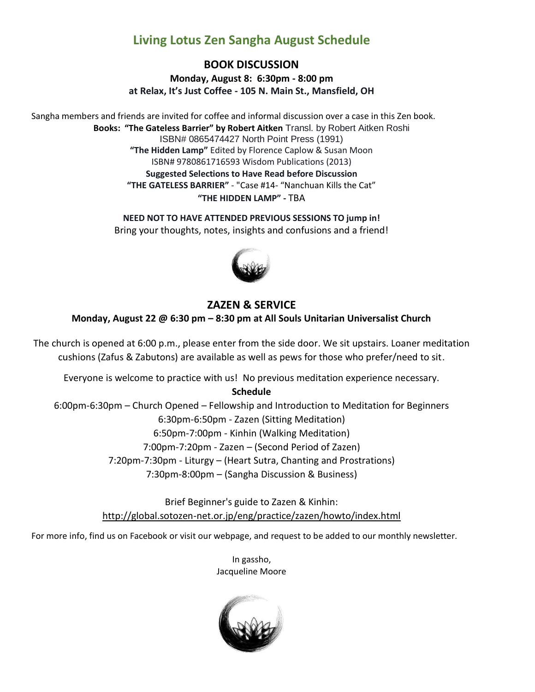# **Living Lotus Zen Sangha August Schedule**

## **BOOK DISCUSSION**

**Monday, August 8: 6:30pm - 8:00 pm at Relax, It's Just Coffee - 105 N. Main St., Mansfield, OH**

Sangha members and friends are invited for coffee and informal discussion over a case in this Zen book. **Books: "The Gateless Barrier" by Robert Aitken** Transl. by Robert Aitken Roshi ISBN# 0865474427 North Point Press (1991) **"The Hidden Lamp"** Edited by Florence Caplow & Susan Moon ISBN# 9780861716593 Wisdom Publications (2013) **Suggested Selections to Have Read before Discussion "THE GATELESS BARRIER"** - "Case #14- "Nanchuan Kills the Cat" **"THE HIDDEN LAMP" -** TBA

> **NEED NOT TO HAVE ATTENDED PREVIOUS SESSIONS TO jump in!** Bring your thoughts, notes, insights and confusions and a friend!



# **ZAZEN & SERVICE**

**Monday, August 22 @ 6:30 pm – 8:30 pm at All Souls Unitarian Universalist Church**

The church is opened at 6:00 p.m., please enter from the side door. We sit upstairs. Loaner meditation cushions (Zafus & Zabutons) are available as well as pews for those who prefer/need to sit.

Everyone is welcome to practice with us! No previous meditation experience necessary.

**Schedule**

6:00pm-6:30pm – Church Opened – Fellowship and Introduction to Meditation for Beginners 6:30pm-6:50pm - Zazen (Sitting Meditation) 6:50pm-7:00pm - Kinhin (Walking Meditation) 7:00pm-7:20pm - Zazen – (Second Period of Zazen) 7:20pm-7:30pm - Liturgy – (Heart Sutra, Chanting and Prostrations) 7:30pm-8:00pm – (Sangha Discussion & Business)

> Brief Beginner's guide to Zazen & Kinhin: [http://global.sotozen-net.or.jp/eng/practice/zazen/howto/index.html](http://l.facebook.com/?u=http%3A%2F%2Fglobal.sotozen-net.or.jp%2Feng%2Fpractice%2Fzazen%2Fhowto%2Findex.html&e=ATOXqawJM1--9N9v8oPw8oyhjopfFmZVyt2JFfRZL-qFiiYq8uBExuSIEUOSpg)

For more info, find us on Facebook or visit our webpage, and request to be added to our monthly newsletter.

In gassho, Jacqueline Moore